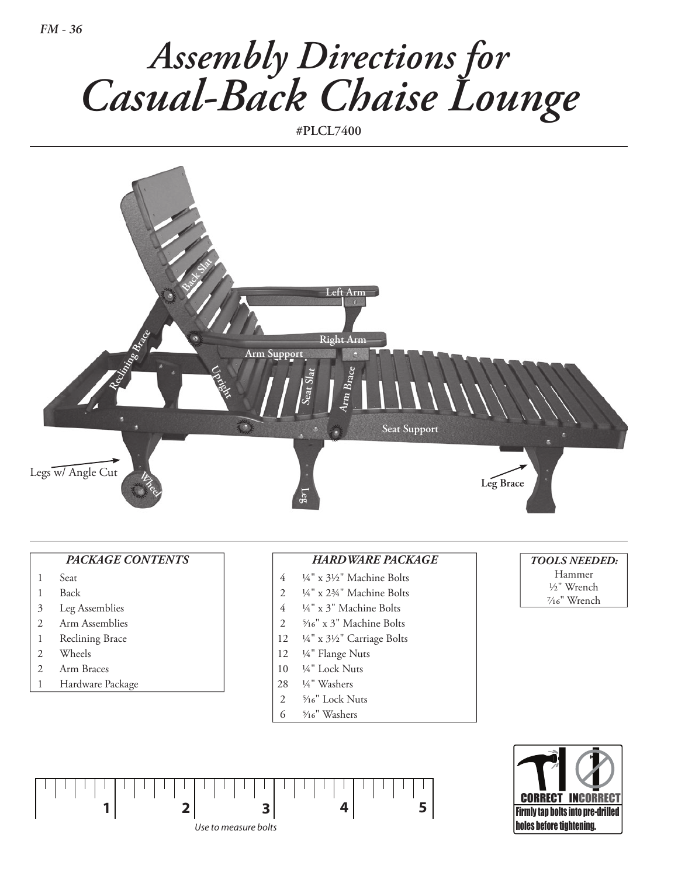

**#PLCL7400**



## *PACKAGE CONTENTs*

- 1 Seat
- 1 Back
- 3 Leg Assemblies
- 2 Arm Assemblies
- 1 Reclining Brace
- 2 Wheels
- 2 Arm Braces
- 1 Hardware Package

## *HARdWARE PACKAGE*

- 4 ¼ " x 3½ " Machine Bolts
- $2 \frac{1}{4}$ " x  $2\frac{3}{4}$ " Machine Bolts
- 4 ¼ " x 3" Machine Bolts
- 2 5�16" x 3" Machine Bolts
- 12 ¼ " x 3½ " Carriage Bolts
- 12 ¼" Flange Nuts
- 10  $\frac{1}{4}$ " Lock Nuts
- 28 ¼ " Washers
- 2 5/16" Lock Nuts
- 
- 6 5/16" Washers